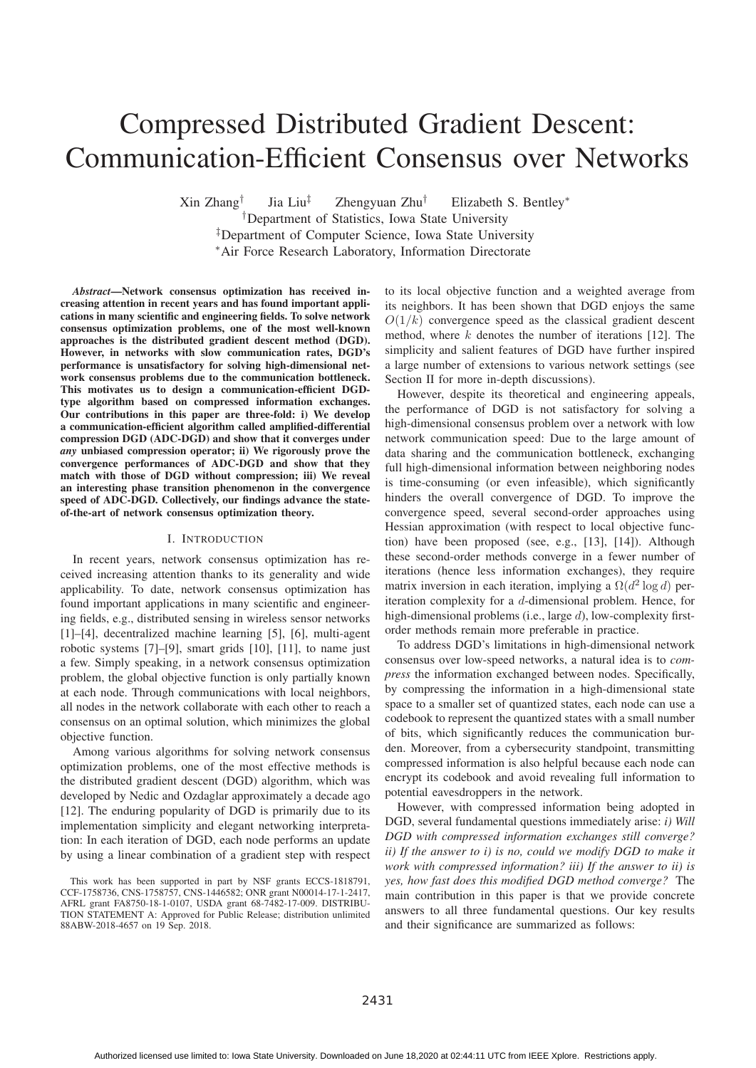# Compressed Distributed Gradient Descent: Communication-Efficient Consensus over Networks

Xin Zhang† Jia Liu‡ Zhengyuan Zhu† Elizabeth S. Bentley∗

†Department of Statistics, Iowa State University

‡Department of Computer Science, Iowa State University ∗Air Force Research Laboratory, Information Directorate

*Abstract*—Network consensus optimization has received increasing attention in recent years and has found important applications in many scientific and engineering fields. To solve network consensus optimization problems, one of the most well-known approaches is the distributed gradient descent method (DGD). However, in networks with slow communication rates, DGD's performance is unsatisfactory for solving high-dimensional network consensus problems due to the communication bottleneck. This motivates us to design a communication-efficient DGDtype algorithm based on compressed information exchanges. Our contributions in this paper are three-fold: i) We develop a communication-efficient algorithm called amplified-differential compression DGD (ADC-DGD) and show that it converges under *any* unbiased compression operator; ii) We rigorously prove the convergence performances of ADC-DGD and show that they match with those of DGD without compression; iii) We reveal an interesting phase transition phenomenon in the convergence speed of ADC-DGD. Collectively, our findings advance the stateof-the-art of network consensus optimization theory.

# I. INTRODUCTION

In recent years, network consensus optimization has received increasing attention thanks to its generality and wide applicability. To date, network consensus optimization has found important applications in many scientific and engineering fields, e.g., distributed sensing in wireless sensor networks [1]–[4], decentralized machine learning [5], [6], multi-agent robotic systems [7]–[9], smart grids [10], [11], to name just a few. Simply speaking, in a network consensus optimization problem, the global objective function is only partially known at each node. Through communications with local neighbors, all nodes in the network collaborate with each other to reach a consensus on an optimal solution, which minimizes the global objective function.

Among various algorithms for solving network consensus optimization problems, one of the most effective methods is the distributed gradient descent (DGD) algorithm, which was developed by Nedic and Ozdaglar approximately a decade ago [12]. The enduring popularity of DGD is primarily due to its implementation simplicity and elegant networking interpretation: In each iteration of DGD, each node performs an update by using a linear combination of a gradient step with respect to its local objective function and a weighted average from its neighbors. It has been shown that DGD enjoys the same  $O(1/k)$  convergence speed as the classical gradient descent method, where  $k$  denotes the number of iterations [12]. The simplicity and salient features of DGD have further inspired a large number of extensions to various network settings (see Section II for more in-depth discussions).

However, despite its theoretical and engineering appeals, the performance of DGD is not satisfactory for solving a high-dimensional consensus problem over a network with low network communication speed: Due to the large amount of data sharing and the communication bottleneck, exchanging full high-dimensional information between neighboring nodes is time-consuming (or even infeasible), which significantly hinders the overall convergence of DGD. To improve the convergence speed, several second-order approaches using Hessian approximation (with respect to local objective function) have been proposed (see, e.g., [13], [14]). Although these second-order methods converge in a fewer number of iterations (hence less information exchanges), they require matrix inversion in each iteration, implying a  $\Omega(d^2 \log d)$  periteration complexity for a d-dimensional problem. Hence, for high-dimensional problems (i.e., large d), low-complexity firstorder methods remain more preferable in practice.

To address DGD's limitations in high-dimensional network consensus over low-speed networks, a natural idea is to *compress* the information exchanged between nodes. Specifically, by compressing the information in a high-dimensional state space to a smaller set of quantized states, each node can use a codebook to represent the quantized states with a small number of bits, which significantly reduces the communication burden. Moreover, from a cybersecurity standpoint, transmitting compressed information is also helpful because each node can encrypt its codebook and avoid revealing full information to potential eavesdroppers in the network.

However, with compressed information being adopted in DGD, several fundamental questions immediately arise: *i) Will DGD with compressed information exchanges still converge? ii) If the answer to i) is no, could we modify DGD to make it work with compressed information? iii) If the answer to ii) is yes, how fast does this modified DGD method converge?* The main contribution in this paper is that we provide concrete answers to all three fundamental questions. Our key results and their significance are summarized as follows:

This work has been supported in part by NSF grants ECCS-1818791, CCF-1758736, CNS-1758757, CNS-1446582; ONR grant N00014-17-1-2417, AFRL grant FA8750-18-1-0107, USDA grant 68-7482-17-009. DISTRIBU-TION STATEMENT A: Approved for Public Release; distribution unlimited 88ABW-2018-4657 on 19 Sep. 2018.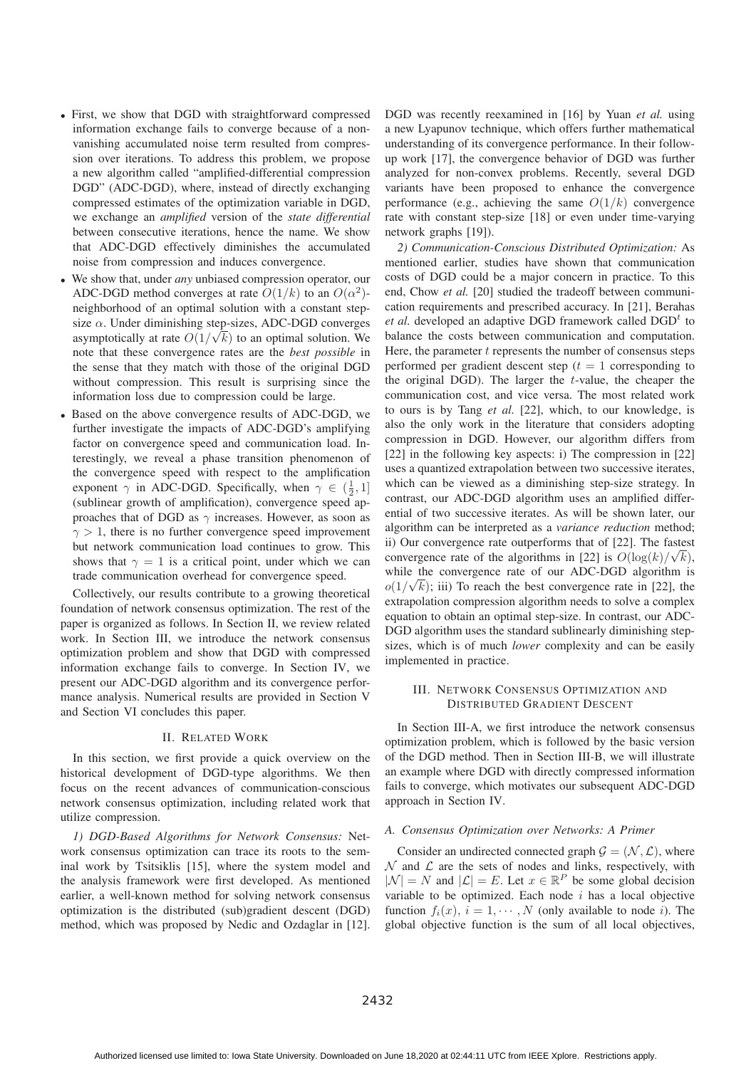- First, we show that DGD with straightforward compressed information exchange fails to converge because of a nonvanishing accumulated noise term resulted from compression over iterations. To address this problem, we propose a new algorithm called "amplified-differential compression DGD" (ADC-DGD), where, instead of directly exchanging compressed estimates of the optimization variable in DGD, we exchange an *amplified* version of the *state differential* between consecutive iterations, hence the name. We show that ADC-DGD effectively diminishes the accumulated noise from compression and induces convergence.
- We show that, under *any* unbiased compression operator, our ADC-DGD method converges at rate  $O(1/k)$  to an  $O(\alpha^2)$ neighborhood of an optimal solution with a constant stepsize  $\alpha$ . Under diminishing step-sizes, ADC-DGD converges asymptotically at rate  $O(1/\sqrt{k})$  to an optimal solution. We<br>note that these convergence rates are the hest nossible in note that these convergence rates are the *best possible* in the sense that they match with those of the original DGD without compression. This result is surprising since the information loss due to compression could be large.
- Based on the above convergence results of ADC-DGD, we further investigate the impacts of ADC-DGD's amplifying factor on convergence speed and communication load. Interestingly, we reveal a phase transition phenomenon of the convergence speed with respect to the amplification exponent  $\gamma$  in ADC-DGD. Specifically, when  $\gamma \in (\frac{1}{2}, 1]$ <br>(sublinear growth of amplification), convergence speed and (sublinear growth of amplification), convergence speed approaches that of DGD as  $\gamma$  increases. However, as soon as  $\gamma > 1$ , there is no further convergence speed improvement but network communication load continues to grow. This shows that  $\gamma = 1$  is a critical point, under which we can trade communication overhead for convergence speed.

Collectively, our results contribute to a growing theoretical foundation of network consensus optimization. The rest of the paper is organized as follows. In Section II, we review related work. In Section III, we introduce the network consensus optimization problem and show that DGD with compressed information exchange fails to converge. In Section IV, we present our ADC-DGD algorithm and its convergence performance analysis. Numerical results are provided in Section V and Section VI concludes this paper.

## II. RELATED WORK

In this section, we first provide a quick overview on the historical development of DGD-type algorithms. We then focus on the recent advances of communication-conscious network consensus optimization, including related work that utilize compression.

*1) DGD-Based Algorithms for Network Consensus:* Network consensus optimization can trace its roots to the seminal work by Tsitsiklis [15], where the system model and the analysis framework were first developed. As mentioned earlier, a well-known method for solving network consensus optimization is the distributed (sub)gradient descent (DGD) method, which was proposed by Nedic and Ozdaglar in [12].

DGD was recently reexamined in [16] by Yuan *et al.* using a new Lyapunov technique, which offers further mathematical understanding of its convergence performance. In their followup work [17], the convergence behavior of DGD was further analyzed for non-convex problems. Recently, several DGD variants have been proposed to enhance the convergence performance (e.g., achieving the same  $O(1/k)$  convergence rate with constant step-size [18] or even under time-varying network graphs [19]).

*2) Communication-Conscious Distributed Optimization:* As mentioned earlier, studies have shown that communication costs of DGD could be a major concern in practice. To this end, Chow *et al.* [20] studied the tradeoff between communication requirements and prescribed accuracy. In [21], Berahas *et al.* developed an adaptive DGD framework called  $DGD<sup>t</sup>$  to balance the costs between communication and computation. Here, the parameter  $t$  represents the number of consensus steps performed per gradient descent step  $(t = 1)$  corresponding to the original DGD). The larger the  $t$ -value, the cheaper the communication cost, and vice versa. The most related work to ours is by Tang *et al.* [22], which, to our knowledge, is also the only work in the literature that considers adopting compression in DGD. However, our algorithm differs from [22] in the following key aspects: i) The compression in [22] uses a quantized extrapolation between two successive iterates, which can be viewed as a diminishing step-size strategy. In contrast, our ADC-DGD algorithm uses an amplified differential of two successive iterates. As will be shown later, our algorithm can be interpreted as a *variance reduction* method; ii) Our convergence rate outperforms that of [22]. The fastest convergence rate of the algorithms in [22] is  $O(log(k)/\sqrt{k})$ ,<br>while the convergence rate of our ADC-DGD algorithm is while the convergence rate of our ADC-DGD algorithm is  $o(1/\sqrt{k})$ ; iii) To reach the best convergence rate in [22], the<br>extrapolation compression algorithm needs to solve a complex extrapolation compression algorithm needs to solve a complex equation to obtain an optimal step-size. In contrast, our ADC-DGD algorithm uses the standard sublinearly diminishing stepsizes, which is of much *lower* complexity and can be easily implemented in practice.

# III. NETWORK CONSENSUS OPTIMIZATION AND DISTRIBUTED GRADIENT DESCENT

In Section III-A, we first introduce the network consensus optimization problem, which is followed by the basic version of the DGD method. Then in Section III-B, we will illustrate an example where DGD with directly compressed information fails to converge, which motivates our subsequent ADC-DGD approach in Section IV.

## *A. Consensus Optimization over Networks: A Primer*

Consider an undirected connected graph  $G = (N, \mathcal{L})$ , where  $N$  and  $\mathcal L$  are the sets of nodes and links, respectively, with  $|\mathcal{N}| = N$  and  $|\mathcal{L}| = E$ . Let  $x \in \mathbb{R}^P$  be some global decision variable to be optimized. Each node  $i$  has a local objective function  $f_i(x)$ ,  $i = 1, \dots, N$  (only available to node *i*). The global objective function is the sum of all local objectives,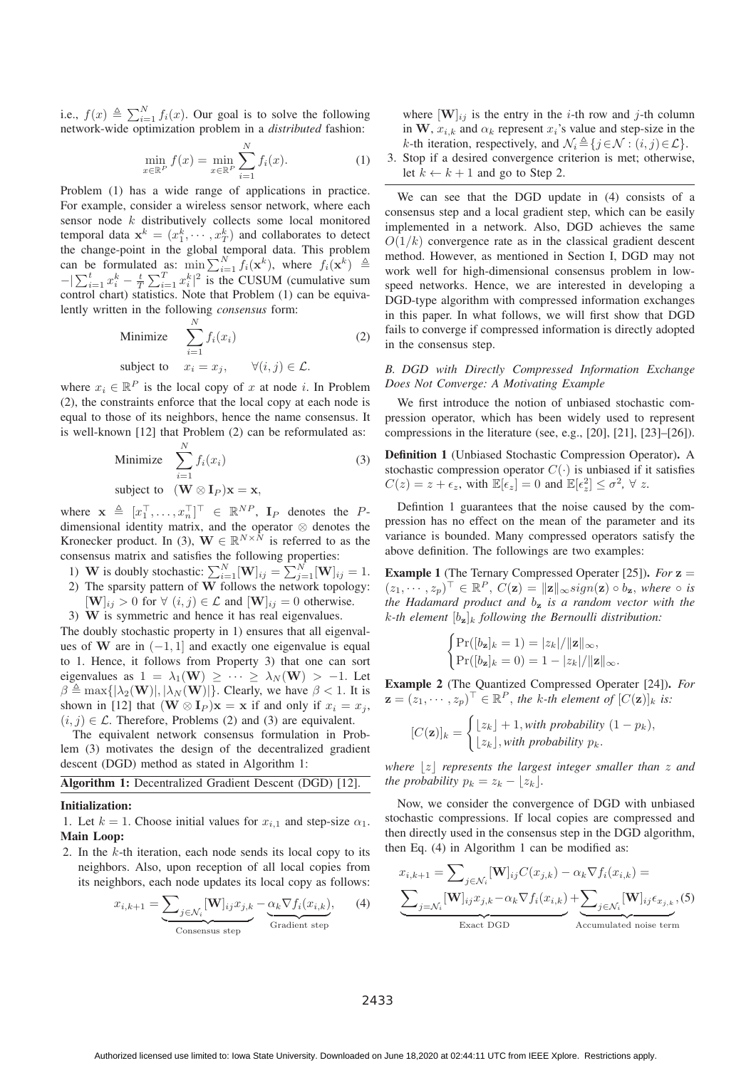i.e.,  $f(x) \triangleq \sum_{i=1}^{N} f_i(x)$ . Our goal is to solve the following<br>network-wide optimization problem in a distributed fashion: network-wide optimization problem in a *distributed* fashion:

$$
\min_{x \in \mathbb{R}^P} f(x) = \min_{x \in \mathbb{R}^P} \sum_{i=1}^N f_i(x).
$$
 (1)

Problem (1) has a wide range of applications in practice. For example, consider a wireless sensor network, where each sensor node k distributively collects some local monitored temporal data  $\mathbf{x}^k = (x_1^k, \dots, x_T^k)$  and collaborates to detect<br>the change-point in the global temporal data. This problem the change-point in the global temporal data. This problem can be formulated as:  $\min_{\sum_{i=1}^{N} f_i(\mathbf{x}^k)}$ , where  $f_i(\mathbf{x}^k) \triangleq$  $-\left|\sum_{i=1}^t x_i^k - \frac{t}{T}\sum_{i=1}^T x_i^k\right|^2$  is the CUSUM (cumulative surface control chart) statistics. Note that Problem (1) can be equive  $\sum_{i=1}^{T} x_i^k|^2$  is the CUSUM (cumulative sum<br>istics. Note that Problem (1) can be equivacontrol chart) statistics. Note that Problem (1) can be equivalently written in the following *consensus* form:

Minimize 
$$
\sum_{i=1}^{N} f_i(x_i)
$$
subject to 
$$
x_i = x_j, \qquad \forall (i, j) \in \mathcal{L}.
$$
 (2)

where  $x_i \in \mathbb{R}^P$  is the local copy of x at node *i*. In Problem (2) the contraints options that the local copy of goal pode is (2), the constraints enforce that the local copy at each node is equal to those of its neighbors, hence the name consensus. It is well-known [12] that Problem (2) can be reformulated as:

Minimize 
$$
\sum_{i=1}^{N} f_i(x_i)
$$
  
subject to  $(\mathbf{W} \otimes \mathbf{I}_P)\mathbf{x} = \mathbf{x},$ 

where  $\mathbf{x} \triangleq [x_1^\top, \dots, x_n^\top]^\top \in \mathbb{R}^{NP}$ ,  $\mathbf{I}_P$  denotes the *P*-<br>dimensional identity matrix, and the operator  $\otimes$  denotes the dimensional identity matrix, and the operator  $\otimes$  denotes the Kronecker product. In (3),  $\mathbf{W} \in \mathbb{R}^{N \times \hat{N}}$  is referred to as the consensus matrix and satisfies the following properties:

- 1) **W** is doubly stochastic:  $\sum_{i=1}^{N} [\mathbf{W}]_{ij} = \sum_{j=1}^{N} [\mathbf{W}]_{ij} = 1$ .<br>2) The sparsity pattern of **W** follows the network topology:
- 
- $[\mathbf{W}]_{ij} > 0$  for  $\forall$   $(i, j) \in \mathcal{L}$  and  $[\mathbf{W}]_{ij} = 0$  otherwise. 3) **W** is symmetric and hence it has real eigenvalues.

The doubly stochastic property in 1) ensures that all eigenvalues of **W** are in  $(-1, 1]$  and exactly one eigenvalue is equal to 1. Hence, it follows from Property 3) that one can sort eigenvalues as  $1 = \lambda_1(\mathbf{W}) \geq \cdots \geq \lambda_N(\mathbf{W}) > -1$ . Let  $\beta \triangleq \max\{|\lambda_2(\mathbf{W})|, |\lambda_N(\mathbf{W})|\}.$  Clearly, we have  $\beta < 1$ . It is shown in [12] that  $(\mathbf{W} \otimes \mathbf{I}_n)\mathbf{x} = \mathbf{x}$  if and only if  $x_i = x_i$ . shown in [12] that  $(\mathbf{W} \otimes \mathbf{I}_P)\mathbf{x} = \mathbf{x}$  if and only if  $x_i = x_j$ ,  $(i, j) \in \mathcal{L}$ . Therefore, Problems (2) and (3) are equivalent.

The equivalent network consensus formulation in Problem (3) motivates the design of the decentralized gradient descent (DGD) method as stated in Algorithm 1:

| Algorithm 1: Decentralized Gradient Descent (DGD) [12]. |  |  |
|---------------------------------------------------------|--|--|
|---------------------------------------------------------|--|--|

## Initialization:

1. Let  $k = 1$ . Choose initial values for  $x_{i,1}$  and step-size  $\alpha_1$ . Main Loop:

2. In the  $k$ -th iteration, each node sends its local copy to its neighbors. Also, upon reception of all local copies from its neighbors, each node updates its local copy as follows:

$$
x_{i,k+1} = \underbrace{\sum_{j \in \mathcal{N}_i} [\mathbf{W}]_{ij} x_{j,k}}_{\text{Consensus step}} - \underbrace{\alpha_k \nabla f_i(x_{i,k})}_{\text{Gradient step}}, \tag{4}
$$

where  $[\mathbf{W}]_{ij}$  is the entry in the *i*-th row and *j*-th column in **W**,  $x_{i,k}$  and  $\alpha_k$  represent  $x_i$ 's value and step-size in the k-th iteration, respectively, and  $\mathcal{N}_i \triangleq \{j \in \mathcal{N} : (i, j) \in \mathcal{L}\}\$ .<br>Stop if a desired convergence criterion is metropherwise

3. Stop if a desired convergence criterion is met; otherwise, let  $k \leftarrow k + 1$  and go to Step 2.

We can see that the DGD update in (4) consists of a consensus step and a local gradient step, which can be easily implemented in a network. Also, DGD achieves the same  $O(1/k)$  convergence rate as in the classical gradient descent method. However, as mentioned in Section I, DGD may not work well for high-dimensional consensus problem in lowspeed networks. Hence, we are interested in developing a DGD-type algorithm with compressed information exchanges in this paper. In what follows, we will first show that DGD fails to converge if compressed information is directly adopted in the consensus step.

# *B. DGD with Directly Compressed Information Exchange Does Not Converge: A Motivating Example*

We first introduce the notion of unbiased stochastic compression operator, which has been widely used to represent compressions in the literature (see, e.g., [20], [21], [23]–[26]).

Definition 1 (Unbiased Stochastic Compression Operator). A stochastic compression operator  $C(\cdot)$  is unbiased if it satisfies  $C(z) = z + \epsilon_z$ , with  $\mathbb{E}[\epsilon_z] = 0$  and  $\mathbb{E}[\epsilon_z^2] \le \sigma^2$ ,  $\forall z$ .

Defintion 1 guarantees that the noise caused by the compression has no effect on the mean of the parameter and its variance is bounded. Many compressed operators satisfy the above definition. The followings are two examples:

Example 1 (The Ternary Compressed Operater [25]). *For* **<sup>z</sup>** =  $(z_1, \dots, z_p)^\top \in \mathbb{R}^P$ ,  $C(\mathbf{z}) = ||\mathbf{z}||_{\infty}$  sign( $\mathbf{z}$ )  $\circ$  b<sub>z</sub>, where  $\circ$  *is*<br>the Hadamard product and by is a random vector with the *the Hadamard product and* b**<sup>z</sup>** *is a random vector with the*  $k$ -th element  $[b_{\mathbf{z}}]_k$  *following the Bernoulli distribution:* 

$$
\begin{cases}\Pr([b_{\mathbf{z}}]_k=1)=|z_k|/\|\mathbf{z}\|_{\infty},\\ \Pr([b_{\mathbf{z}}]_k=0)=1-|z_k|/\|\mathbf{z}\|_{\infty}.\end{cases}
$$

Example 2 (The Quantized Compressed Operater [24]). *For*  $\mathbf{z} = (z_1, \dots, z_p)^\top \in \mathbb{R}^P$ , the k-th element of  $[C(\mathbf{z})]_k$  is:

$$
[C(\mathbf{z})]_k = \begin{cases} \lfloor z_k \rfloor + 1, & \text{with probability } (1 - p_k), \\ \lfloor z_k \rfloor, & \text{with probability } p_k. \end{cases}
$$

where  $|z|$  represents the largest integer smaller than  $z$  and *the probability*  $p_k = z_k - \lfloor z_k \rfloor$ *.* 

Now, we consider the convergence of DGD with unbiased stochastic compressions. If local copies are compressed and then directly used in the consensus step in the DGD algorithm, then Eq. (4) in Algorithm 1 can be modified as:

$$
x_{i,k+1} = \sum_{j \in \mathcal{N}_i} [\mathbf{W}]_{ij} C(x_{j,k}) - \alpha_k \nabla f_i(x_{i,k}) =
$$

$$
\underbrace{\sum_{j=\mathcal{N}_i} [\mathbf{W}]_{ij} x_{j,k} - \alpha_k \nabla f_i(x_{i,k})}_{\text{Exact DGD}} + \underbrace{\sum_{j \in \mathcal{N}_i} [\mathbf{W}]_{ij} \epsilon_{x_{j,k}}}_{\text{Accumulated noise term}}, (5)
$$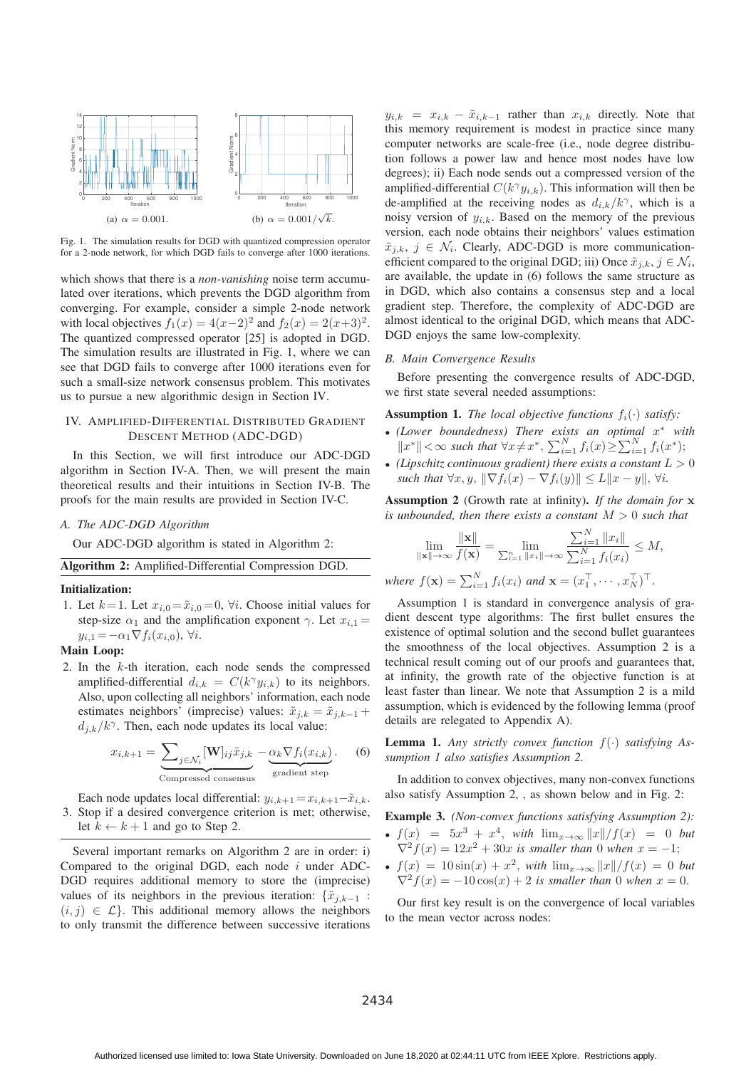

Fig. 1. The simulation results for DGD with quantized compression operator for a 2-node network, for which DGD fails to converge after 1000 iterations.

which shows that there is a *non-vanishing* noise term accumulated over iterations, which prevents the DGD algorithm from converging. For example, consider a simple 2-node network with local objectives  $f_1(x) = 4(x-2)^2$  and  $f_2(x) = 2(x+3)^2$ . The quantized compressed operator [25] is adopted in DGD. The simulation results are illustrated in Fig. 1, where we can see that DGD fails to converge after 1000 iterations even for such a small-size network consensus problem. This motivates us to pursue a new algorithmic design in Section IV.

# IV. AMPLIFIED-DIFFERENTIAL DISTRIBUTED GRADIENT DESCENT METHOD (ADC-DGD)

In this Section, we will first introduce our ADC-DGD algorithm in Section IV-A. Then, we will present the main theoretical results and their intuitions in Section IV-B. The proofs for the main results are provided in Section IV-C.

## *A. The ADC-DGD Algorithm*

Our ADC-DGD algorithm is stated in Algorithm 2:

# Algorithm 2: Amplified-Differential Compression DGD.

#### Initialization:

1. Let  $k = 1$ . Let  $x_{i,0} = \tilde{x}_{i,0} = 0$ ,  $\forall i$ . Choose initial values for step-size  $\alpha_1$  and the amplification exponent  $\gamma$ . Let  $x_{i,1} =$  $y_{i,1} = -\alpha_1 \nabla f_i(x_{i,0}), \forall i.$ 

# Main Loop:

2. In the k-th iteration, each node sends the compressed amplified-differential  $d_{i,k} = C(k^{\gamma} y_{i,k})$  to its neighbors. Also, upon collecting all neighbors' information, each node estimates neighbors' (imprecise) values:  $\tilde{x}_{j,k} = \tilde{x}_{j,k-1} +$  $d_{j,k}/k^{\gamma}$ . Then, each node updates its local value:

$$
x_{i,k+1} = \underbrace{\sum_{j \in \mathcal{N}_i} [\mathbf{W}]_{ij} \tilde{x}_{j,k}}_{\text{Compressed consensus}} - \underbrace{\alpha_k \nabla f_i(x_{i,k})}_{\text{gradient step}}.
$$
 (6)

Each node updates local differential:  $y_{i,k+1} = x_{i,k+1} - \tilde{x}_{i,k}$ . 3. Stop if a desired convergence criterion is met; otherwise, let  $k \leftarrow k + 1$  and go to Step 2.

Several important remarks on Algorithm 2 are in order: i) Compared to the original DGD, each node  $i$  under ADC-DGD requires additional memory to store the (imprecise) values of its neighbors in the previous iteration:  $\{\tilde{x}_{i,k-1} :$  $(i, j) \in \mathcal{L}$ . This additional memory allows the neighbors to only transmit the difference between successive iterations

 $y_{i,k} = x_{i,k} - \tilde{x}_{i,k-1}$  rather than  $x_{i,k}$  directly. Note that this memory requirement is modest in practice since many computer networks are scale-free (i.e., node degree distribution follows a power law and hence most nodes have low degrees); ii) Each node sends out a compressed version of the amplified-differential  $C(k^{\gamma}y_{i,k})$ . This information will then be de-amplified at the receiving nodes as  $d_{i,k}/k^{\gamma}$ , which is a noisy version of  $y_{i,k}$ . Based on the memory of the previous version, each node obtains their neighbors' values estimation  $\tilde{x}_{i,k}, j \in \mathcal{N}_i$ . Clearly, ADC-DGD is more communicationefficient compared to the original DGD; iii) Once  $\tilde{x}_{i,k}, j \in \mathcal{N}_i$ , are available, the update in (6) follows the same structure as in DGD, which also contains a consensus step and a local gradient step. Therefore, the complexity of ADC-DGD are almost identical to the original DGD, which means that ADC-DGD enjoys the same low-complexity.

#### *B. Main Convergence Results*

Before presenting the convergence results of ADC-DGD, we first state several needed assumptions:

**Assumption 1.** *The local objective functions*  $f_i(\cdot)$  *satisfy:* 

- *(Lower boundedness) There exists an optimal* x<sup>∗</sup> *with*  $||x^*|| < \infty$  such that  $\forall x \neq x^*$ ,  $\sum_{i=1}^N f_i(x) \geq \sum_{i=1}^N f_i(x^*)$ ;<br>(Linearly continuous and interference)
- (*Lipschitz continuous gradient*) there exists a constant  $L > 0$ *such that*  $\forall x, y, \|\nabla f_i(x) - \nabla f_i(y)\| \le L \|x - y\|, \forall i.$

Assumption 2 (Growth rate at infinity). *If the domain for* **x** *is unbounded, then there exists a constant* M > 0 *such that*

$$
\lim_{\|\mathbf{x}\| \to \infty} \frac{\|\mathbf{x}\|}{f(\mathbf{x})} = \lim_{\sum_{i=1}^n \|x_i\| \to \infty} \frac{\sum_{i=1}^N \|x_i\|}{\sum_{i=1}^N f_i(x_i)} \le M,
$$

*where*  $f(\mathbf{x}) = \sum_{i=1}^{N} f_i(x_i)$  *and*  $\mathbf{x} = (x_1^\top, \dots, x_N^\top)^\top$ .

Assumption 1 is standard in convergence analysis of gradient descent type algorithms: The first bullet ensures the existence of optimal solution and the second bullet guarantees the smoothness of the local objectives. Assumption 2 is a technical result coming out of our proofs and guarantees that, at infinity, the growth rate of the objective function is at least faster than linear. We note that Assumption 2 is a mild assumption, which is evidenced by the following lemma (proof details are relegated to Appendix A).

Lemma 1. *Any strictly convex function* <sup>f</sup>(·) *satisfying Assumption 1 also satisfies Assumption 2.*

In addition to convex objectives, many non-convex functions also satisfy Assumption 2, , as shown below and in Fig. 2:

Example 3. *(Non-convex functions satisfying Assumption 2):*

- $f(x) = 5x^3 + x^4$ , *with*  $\lim_{x\to\infty} ||x||/f(x) = 0$  *but*<br> $\nabla^2 f(x) = 12x^2 + 30x$  is smaller than 0 when  $x = -1$ .  $\nabla^2 f(x) = 12x^2 + 30x$  *is smaller than* 0 *when*  $x = -1$ ;
- $f(x) = 10 \sin(x) + x^2$ , *with*  $\lim_{x\to\infty} ||x||/f(x) = 0$  *but*<br>  $\nabla^2 f(x) = -10 \cos(x) + 2$  is smaller than 0 when  $x = 0$  $\nabla^2 f(x) = -10 \cos(x) + 2$  *is smaller than* 0 *when*  $x = 0$ .

Our first key result is on the convergence of local variables to the mean vector across nodes: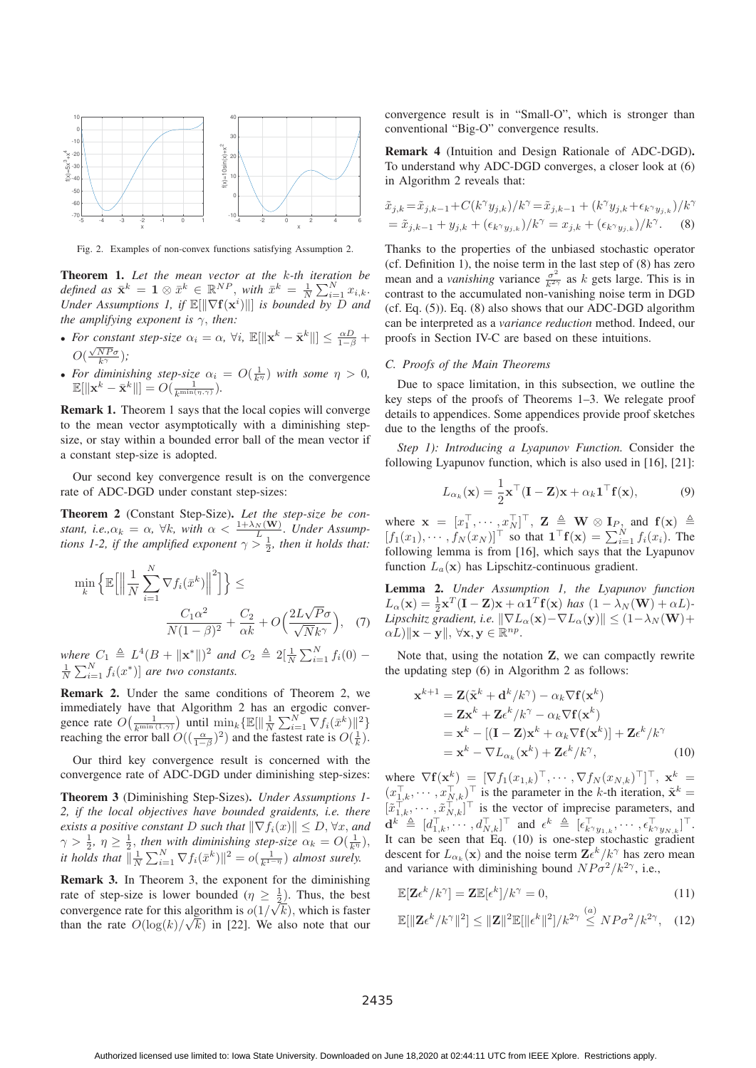

Fig. 2. Examples of non-convex functions satisfying Assumption 2.

Theorem 1. *Let the mean vector at the* k*-th iteration be defined as*  $\bar{\mathbf{x}}^k = \mathbf{1} \otimes \bar{x}^k \in \mathbb{R}^{NP}$ , *with*  $\bar{x}^k = \frac{1}{N}$ <br>*Under Assumptions 1 if*  $\mathbb{E}[\|\nabla f(\mathbf{x}^i)\|]$  *is hounder*  $\sum_{i=1}^{N} x_{i,k}.$ *Under Assumptions 1, if*  $\mathbb{E}[\|\nabla f(\mathbf{x}^i)\|]$  *is bounded by*  $\overrightarrow{D}$  *and* the amplifying exponent is  $\propto$  then: *the amplifying exponent is*  $\gamma$ *, then:* 

- For constant step-size  $\alpha_i = \alpha$ ,  $\forall i$ ,  $\mathbb{E}[\|\mathbf{x}^k \bar{\mathbf{x}}^k\|] \le \frac{\alpha D}{1-\beta} +$  $O(\frac{\sqrt{N}P\sigma}{k^{\gamma}});$ <br>For diminis √ $k^{\gamma}$
- For diminishing step-size  $\alpha_i = O(\frac{1}{k^{\eta}})$  with some  $\eta > 0$ ,  $\mathbb{E}[\|\mathbf{x}^k \bar{\mathbf{x}}^k\|] = O(\frac{1}{k^{\eta}})$  $\mathbb{E}[\|\mathbf{x}^k - \bar{\mathbf{x}}^k\|] = O(\frac{1}{k^{\min(\eta,\gamma)}}).$

Remark 1. Theorem 1 says that the local copies will converge to the mean vector asymptotically with a diminishing stepsize, or stay within a bounded error ball of the mean vector if a constant step-size is adopted.

Our second key convergence result is on the convergence rate of ADC-DGD under constant step-sizes:

Theorem 2 (Constant Step-Size). *Let the step-size be constant, i.e.,* $\alpha_k = \alpha$ ,  $\forall k$ , with  $\alpha < \frac{1 + \lambda_N(\mathbf{W})}{L}$ . Under Assumptions 1-2, if the amplified exponent  $\gamma > \frac{1}{2}$ , then it holds that:

$$
\min_{k} \left\{ \mathbb{E} \left[ \left\| \frac{1}{N} \sum_{i=1}^{N} \nabla f_{i}(\bar{x}^{k}) \right\|^{2} \right] \right\} \leq
$$
\n
$$
\frac{C_{1} \alpha^{2}}{N(1-\beta)^{2}} + \frac{C_{2}}{\alpha k} + O\left(\frac{2L\sqrt{P}\sigma}{\sqrt{N}k^{\gamma}}\right), \quad (7)
$$

*where*  $C_1 \triangleq L^4(B + ||\mathbf{x}^*||)^2$  *and*  $C_2 \triangleq 2[\frac{1}{N}]$ <br>  $\sum_{i=1}^{N}$   $f_i(x^*)$  *are two constants* where  $C_1 \triangleq L^4(B + ||\mathbf{x}^*||)^2$  and  $C_2 \triangleq 2[\frac{1}{N} \sum_{i=1}^{N} f_i(0) - \frac{1}{N} \sum_{i=1}^{N} f_i(x^*)]$  are two constants.

Remark 2. Under the same conditions of Theorem 2, we immediately have that Algorithm 2 has an ergodic convergence rate  $O\left(\frac{1}{k^{\min{(1,\gamma)}}}\right)$  until  $\min_k {\mathbb{E}}[\|\frac{1}{N}\]$ <br>reaching the error ball  $O((-\alpha)^2)$  and the N  $\sum_{i=1}^{N} \nabla f_i(\bar{x}^k) \|^2$ reaching the error ball  $O((\frac{\alpha}{1-\beta})^2)$  and the fastest rate is  $O(\frac{1}{k})$ .

Our third key convergence result is concerned with the convergence rate of ADC-DGD under diminishing step-sizes:

Theorem 3 (Diminishing Step-Sizes). *Under Assumptions 1- 2, if the local objectives have bounded graidents, i.e. there exists a positive constant* D *such that*  $\|\nabla f_i(x)\| \leq D$ ,  $\forall x$ , and  $\alpha > \frac{1}{\alpha}$  *n*  $> \frac{1}{\alpha}$  *then with diminishing stansize*  $\alpha_i = O(\frac{1}{\alpha})$  $\gamma > \frac{1}{2}$ ,  $\eta \geq \frac{1}{2}$ , then with diminishing step-size  $\alpha_k = O(\frac{1}{k\eta})$ ,<br>it holds that  $\frac{1}{k} \sum_{k=1}^{N} \sum_{\substack{k=1 \\ k \neq j}}^K f(\bar{x}_k^k) \cdot |_{\mathcal{L}}^2 = o(\frac{1}{k\eta})$ , almost suraly *it holds that*  $\|\frac{1}{N}\sum_{i=1}^{N} \nabla f_i(\bar{x}^k)\|^2 = o(\frac{1}{k^{1-\eta}})$  *almost surely.* 

N Remark 3. In Theorem 3, the exponent for the diminishing rate of step-size is lower bounded  $(\eta \geq \frac{1}{2})$ . Thus, the best<br>convergence rate for this electrition is  $c(1/\sqrt{h})$ , which is fector convergence rate for this algorithm is  $o(1/\sqrt{k})$ , which is faster<br>than the rate  $O(\log(k)/\sqrt{k})$  in [22]. We also note that our than the rate  $O(\log(k)/\sqrt{k})$  in [22]. We also note that our convergence result is in "Small-O", which is stronger than conventional "Big-O" convergence results.

Remark 4 (Intuition and Design Rationale of ADC-DGD). To understand why ADC-DGD converges, a closer look at (6) in Algorithm 2 reveals that:

$$
\tilde{x}_{j,k} = \tilde{x}_{j,k-1} + C(k^{\gamma}y_{j,k})/k^{\gamma} = \tilde{x}_{j,k-1} + (k^{\gamma}y_{j,k} + \epsilon_{k^{\gamma}y_{j,k}})/k^{\gamma} \n= \tilde{x}_{j,k-1} + y_{j,k} + (\epsilon_{k^{\gamma}y_{j,k}})/k^{\gamma} = x_{j,k} + (\epsilon_{k^{\gamma}y_{j,k}})/k^{\gamma}.
$$
\n(8)

Thanks to the properties of the unbiased stochastic operator (cf. Definition 1), the noise term in the last step of (8) has zero mean and a *vanishing* variance  $\frac{\sigma^2}{k^2\gamma}$  as k gets large. This is in contrast to the accumulated non-vanishing noise term in DGD contrast to the accumulated non-vanishing noise term in DGD (cf. Eq. (5)). Eq. (8) also shows that our ADC-DGD algorithm can be interpreted as a *variance reduction* method. Indeed, our proofs in Section IV-C are based on these intuitions.

# *C. Proofs of the Main Theorems*

Due to space limitation, in this subsection, we outline the key steps of the proofs of Theorems 1–3. We relegate proof details to appendices. Some appendices provide proof sketches due to the lengths of the proofs.

*Step 1): Introducing a Lyapunov Function.* Consider the following Lyapunov function, which is also used in [16], [21]:

$$
L_{\alpha_k}(\mathbf{x}) = \frac{1}{2}\mathbf{x}^\top (\mathbf{I} - \mathbf{Z})\mathbf{x} + \alpha_k \mathbf{1}^\top \mathbf{f}(\mathbf{x}),
$$
(9)

where  $\mathbf{x} = [x_1^\top, \cdots, x_N^\top]^\top$ ,  $\mathbf{Z} \triangleq \mathbf{W} \otimes \mathbf{I}_P$ , and  $\mathbf{f}(\mathbf{x}) \triangleq [f_1(x_1), \cdots, f_N(x_N)]^\top$  so that  $\mathbf{1}^\top \mathbf{f}(\mathbf{x}) = \sum_{k=1}^N f_k(x_k)$ . The  $[f_1(x_1), \cdots, f_N(x_N)]^{\top}$  so that  $\mathbf{1}^{\top} \mathbf{f}(\mathbf{x}) = \sum_{i=1}^{N} f_i(x_i)$ . The following lemma is from [16], which says that the Lyapunov function  $L_a(\mathbf{x})$  has Lipschitz-continuous gradient.

Lemma 2. *Under Assumption 1, the Lyapunov function*  $L_{\alpha}(\mathbf{x}) = \frac{1}{2}\mathbf{x}^T(\mathbf{I} - \mathbf{Z})\mathbf{x} + \alpha \mathbf{1}^T \mathbf{f}(\mathbf{x})$  has  $(1 - \lambda_N(\mathbf{W}) + \alpha L)$ -<br>Linschitz aradient, i.e.  $\|\nabla L_{\alpha}(\mathbf{x}) - \nabla L_{\alpha}(\mathbf{x})\| \leq (1 - \lambda_N(\mathbf{W})) + \alpha L$ *Lipschitz gradient, i.e.*  $\|\nabla L_{\alpha}(\mathbf{x}) - \nabla L_{\alpha}(\mathbf{y})\| \leq (1 - \lambda_N(\mathbf{W}) + \alpha L)\|\mathbf{x} - \mathbf{y}\|$   $\forall \mathbf{x}, \mathbf{y} \in \mathbb{R}^{np}$  $\alpha L$ )||**x** – **y**||,  $\forall$ **x**, **y**  $\in \mathbb{R}^{np}$ .

Note that, using the notation **Z**, we can compactly rewrite the updating step (6) in Algorithm 2 as follows:

$$
\mathbf{x}^{k+1} = \mathbf{Z}(\tilde{\mathbf{x}}^k + \mathbf{d}^k / k^{\gamma}) - \alpha_k \nabla \mathbf{f}(\mathbf{x}^k)
$$
  
\n
$$
= \mathbf{Z} \mathbf{x}^k + \mathbf{Z} \epsilon^k / k^{\gamma} - \alpha_k \nabla \mathbf{f}(\mathbf{x}^k)
$$
  
\n
$$
= \mathbf{x}^k - [(\mathbf{I} - \mathbf{Z}) \mathbf{x}^k + \alpha_k \nabla \mathbf{f}(\mathbf{x}^k)] + \mathbf{Z} \epsilon^k / k^{\gamma}
$$
  
\n
$$
= \mathbf{x}^k - \nabla L_{\alpha_k}(\mathbf{x}^k) + \mathbf{Z} \epsilon^k / k^{\gamma}, \qquad (10)
$$

where  $\nabla \mathbf{f}(\mathbf{x}^k) = [\nabla f_1(x_{1,k})^\top, \cdots, \nabla f_N(x_{N,k})^\top]^\top, \mathbf{x}^k =$ <br>  $(x^\top \dots, x^\top)^\top$  is the parameter in the k-th iteration  $\tilde{\mathbf{x}}^k =$  $(x_{1,k}^{\top}, \dots, x_{N,k}^{\top})^{\top}$  is the parameter in the k-th iteration,  $\tilde{\mathbf{x}}^k =$ <br> $\begin{bmatrix} \tilde{\mathbf{x}}^{\top} \\ \tilde{\mathbf{x}}^{\top} \end{bmatrix}^{\top}$  is the yester of impressive parameters, and  $[\tilde{x}_{1,k}^{\dagger}, \cdots, \tilde{x}_{N,k}^{\dagger}]^{\dagger}$  is the vector of imprecise parameters, and  $A_k \triangleq [A_{k}^{\dagger}]^{\dagger}$  $\mathbf{d}^k \triangleq [d_{1,k}^\top, \cdots, d_{N,k}^\top]^\top$  and  $\epsilon^k \triangleq [\epsilon_{k\gamma y_{1,k}}^\top, \cdots, \epsilon_{k\gamma y_{N,k}}^\top]^\top$ .<br>It can be seen that Eq. (10) is one-step stochastic gradient It can be seen that Eq. (10) is one-step stochastic gradient descent for  $L_{\alpha_k}(\mathbf{x})$  and the noise term  $\mathbf{Z} \epsilon^k / k^{\gamma}$  has zero mean and variance with diminishing bound  $N P \sigma^2 / k^2 \gamma$  i.e. and variance with diminishing bound  $NP\sigma^2/k^{2\gamma}$ , i.e.,

$$
\mathbb{E}[\mathbf{Z}\epsilon^k/k^{\gamma}] = \mathbf{Z}\mathbb{E}[\epsilon^k]/k^{\gamma} = 0,
$$
\n(11)

$$
\mathbb{E}[\|\mathbf{Z}\epsilon^k/k^{\gamma}\|^2] \leq \|\mathbf{Z}\|^2 \mathbb{E}[\|\epsilon^k\|^2]/k^{2\gamma} \stackrel{(a)}{\leq} NP\sigma^2/k^{2\gamma}, \quad (12)
$$

2435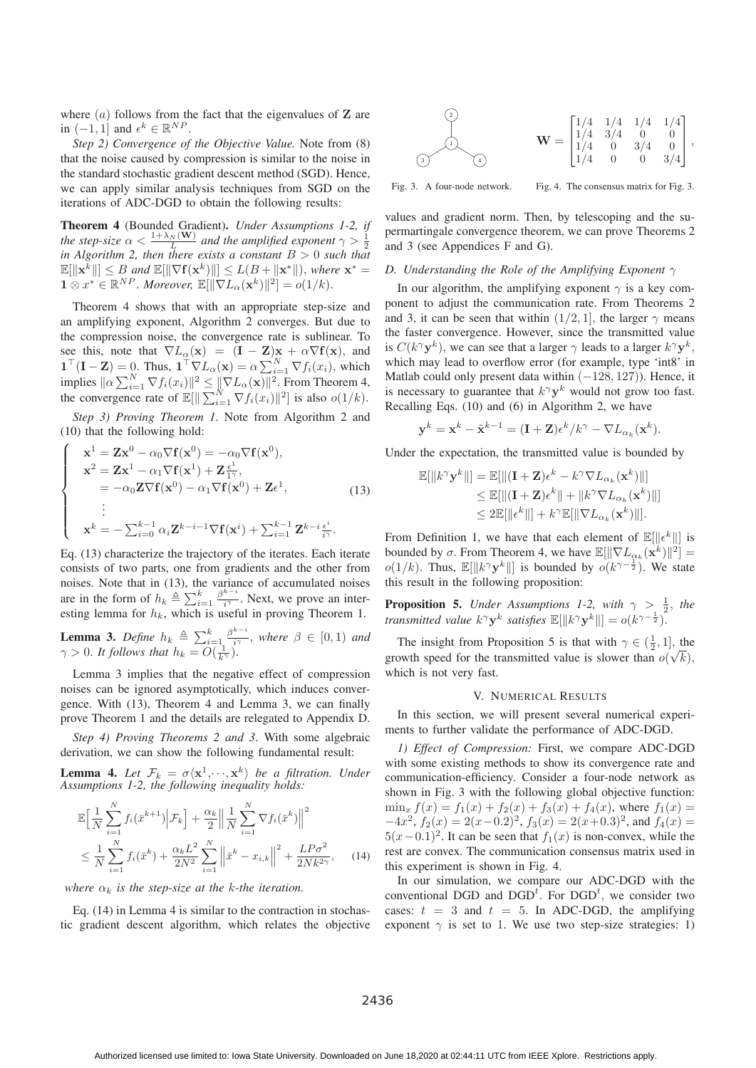where (a) follows from the fact that the eigenvalues of **<sup>Z</sup>** are in  $(-1, 1]$  and  $\epsilon^k \in \mathbb{R}^{NP}$ .

*Step 2) Convergence of the Objective Value.* Note from (8) that the noise caused by compression is similar to the noise in the standard stochastic gradient descent method (SGD). Hence, we can apply similar analysis techniques from SGD on the iterations of ADC-DGD to obtain the following results:

Theorem 4 (Bounded Gradient). *Under Assumptions 1-2, if the step-size*  $\alpha < \frac{1 + \lambda_N(\mathbf{W})}{L}$  *and the amplified exponent*  $\gamma > \frac{1}{2}$ <br>*in Algorithm 2, then there exists a constant*  $R > 0$  such that *in Algorithm 2, then there exists a constant*  $B > 0$  *such that*  $\mathbb{E}[\|\mathbf{x}^k\|] \leq B$  and  $\mathbb{E}[\|\nabla \mathbf{f}(\mathbf{x}^k)\|] \leq L(B + \|\mathbf{x}^*\|)$ , where  $\mathbf{x}^* = \mathbf{1} \otimes \pi^* \in \mathbb{R}^{NP}$ . Moreover,  $\mathbb{E}[\|\nabla I - (\mathbf{x}^k)\|^2] = o(1/k)$ .  $\mathbf{1} \otimes x^* \in \mathbb{R}^{NP}$ . *Moreover*,  $\mathbb{E}[\|\nabla L_{\alpha}(\mathbf{x}^k)\|^2] = o(1/k)$ .

Theorem 4 shows that with an appropriate step-size and an amplifying exponent, Algorithm 2 converges. But due to the compression noise, the convergence rate is sublinear. To see this, note that  $\nabla L_{\alpha}(\mathbf{x}) = (\mathbf{I} - \mathbf{Z})\mathbf{x} + \alpha \nabla \mathbf{f}(\mathbf{x})$ , and  $\mathbf{I}^{\top}(\mathbf{I} - \mathbf{Z}) = 0$ . Thus,  $\mathbf{I}^{\top} \nabla I_{\alpha}(\mathbf{x}) = \alpha \nabla^{N} \nabla f_{\alpha}(\mathbf{x})$ , which **1**<sup>T</sup> $(\mathbf{I} - \mathbf{Z}) = 0$ . Thus,  $\mathbf{1}^\top \nabla L_\alpha(\mathbf{x}) = \alpha \sum_{i=1}^N \nabla f_i(x_i)$ , which implies  $\|\alpha\sum_{i=1}^{N} \nabla f_i(x_i)\|^2 \leq \|\nabla L_{\alpha}(\mathbf{x})\|^2$ . From Theorem 4, the convergence rate of  $\mathbb{E}[\|$  $\|\sum_{i=1}^N \nabla f_i(x_i)\|^2\|$  is also  $o(1/k)$ .

*Step 3) Proving Theorem 1*. Note from Algorithm 2 and (10) that the following hold:

$$
\begin{cases}\n\mathbf{x}^{1} = \mathbf{Z}\mathbf{x}^{0} - \alpha_{0} \nabla \mathbf{f}(\mathbf{x}^{0}) = -\alpha_{0} \nabla \mathbf{f}(\mathbf{x}^{0}), \\
\mathbf{x}^{2} = \mathbf{Z}\mathbf{x}^{1} - \alpha_{1} \nabla \mathbf{f}(\mathbf{x}^{1}) + \mathbf{Z} \frac{\epsilon^{1}}{1 \gamma}, \\
= -\alpha_{0} \mathbf{Z} \nabla \mathbf{f}(\mathbf{x}^{0}) - \alpha_{1} \nabla \mathbf{f}(\mathbf{x}^{0}) + \mathbf{Z} \epsilon^{1}, \\
\vdots \\
\mathbf{x}^{k} = -\sum_{i=0}^{k-1} \alpha_{i} \mathbf{Z}^{k-i-1} \nabla \mathbf{f}(\mathbf{x}^{i}) + \sum_{i=1}^{k-1} \mathbf{Z}^{k-i} \frac{\epsilon^{i}}{i \gamma}.\n\end{cases}
$$
\n(13)

Eq. (13) characterize the trajectory of the iterates. Each iterate consists of two parts, one from gradients and the other from noises. Note that in (13), the variance of accumulated noises are in the form of  $h_k \triangleq \sum_{i=1}^k \frac{\beta^{k-i}}{i\gamma}$ . Next, we prove an inter-<br>esting lemma for  $h_k$  which is useful in proving Theorem 1 esting lemma for  $h_k$ , which is useful in proving Theorem 1.

**Lemma 3.** *Define*  $h_k \triangleq \sum_{i=1}^k \frac{\beta^{k-i}}{i^{\gamma}}$ , *where*  $\beta \in [0,1)$  *and*  $\alpha > 0$  *It follows that*  $h_k = O(\frac{1}{\beta})$  $\gamma > 0$ . It follows that  $h_k = O(\frac{1}{k\gamma})$ .

Lemma 3 implies that the negative effect of compression noises can be ignored asymptotically, which induces convergence. With (13), Theorem 4 and Lemma 3, we can finally prove Theorem 1 and the details are relegated to Appendix D.

*Step 4) Proving Theorems 2 and 3*. With some algebraic derivation, we can show the following fundamental result:

**Lemma 4.** Let  $\mathcal{F}_k = \sigma \langle \mathbf{x}^1, \cdots, \mathbf{x}^k \rangle$  be a filtration. Under *Assumptions 1-2, the following inequality holds:*

$$
\mathbb{E}\Big[\frac{1}{N}\sum_{i=1}^{N}f_i(\bar{x}^{k+1})\Big|\mathcal{F}_k\Big] + \frac{\alpha_k}{2}\Big\|\frac{1}{N}\sum_{i=1}^{N}\nabla f_i(\bar{x}^k)\Big\|^2
$$
  

$$
\leq \frac{1}{N}\sum_{i=1}^{N}f_i(\bar{x}^k) + \frac{\alpha_k L^2}{2N^2}\sum_{i=1}^{N}\Big\|\bar{x}^k - x_{i,k}\Big\|^2 + \frac{L P\sigma^2}{2N k^{2\gamma}}, \qquad (14)
$$

*where*  $\alpha_k$  *is the step-size at the k-the iteration.* 

Eq. (14) in Lemma 4 is similar to the contraction in stochastic gradient descent algorithm, which relates the objective



Fig. 3. A four-node network.

Fig. 4. The consensus matrix for Fig. 3.

values and gradient norm. Then, by telescoping and the supermartingale convergence theorem, we can prove Theorems 2 and 3 (see Appendices F and G).

# *D. Understanding the Role of the Amplifying Exponent* γ

In our algorithm, the amplifying exponent  $\gamma$  is a key component to adjust the communication rate. From Theorems 2 and 3, it can be seen that within  $(1/2, 1]$ , the larger  $\gamma$  means the faster convergence. However, since the transmitted value is  $C(k^{\gamma}y^k)$ , we can see that a larger  $\gamma$  leads to a larger  $k^{\gamma}y^k$ , which may lead to overflow error (for example, type 'int8' in Matlab could only present data within  $(-128, 127)$ ). Hence, it is necessary to guarantee that  $k^{\gamma}$ **y**<sup>k</sup> would not grow too fast. Recalling Eqs. (10) and (6) in Algorithm 2, we have

$$
\mathbf{y}^k = \mathbf{x}^k - \tilde{\mathbf{x}}^{k-1} = (\mathbf{I} + \mathbf{Z})\epsilon^k / k^{\gamma} - \nabla L_{\alpha_k}(\mathbf{x}^k).
$$

Under the expectation, the transmitted value is bounded by

$$
\mathbb{E}[\|k^{\gamma}\mathbf{y}^{k}\|] = \mathbb{E}[\|(1+\mathbf{Z})\epsilon^{k} - k^{\gamma}\nabla L_{\alpha_{k}}(\mathbf{x}^{k})\|] \n\leq \mathbb{E}[\|(1+\mathbf{Z})\epsilon^{k}\| + \|k^{\gamma}\nabla L_{\alpha_{k}}(\mathbf{x}^{k})\|] \n\leq 2\mathbb{E}[\|\epsilon^{k}\|] + k^{\gamma}\mathbb{E}[\|\nabla L_{\alpha_{k}}(\mathbf{x}^{k})\|].
$$

From Definition 1, we have that each element of  $\mathbb{E}[\Vert \epsilon^k \Vert]$  is<br>bounded by  $\sigma$ . From Theorem 4, we have  $\mathbb{E}[\Vert \nabla L - (\mathbf{x}^k) \Vert^2]$ . bounded by  $\sigma$ . From Theorem 4, we have  $\mathbb{E}[\|\nabla L_{\alpha_k}(\mathbf{x}^k)\|^2]$  $o(1/k)$ . Thus,  $\mathbb{E}[\Vert k^{\gamma} \mathbf{y}^{k} \Vert]$  is bounded by  $o(k^{\gamma-\frac{1}{2}})$ . We state this result in the following proposition:

**Proposition 5.** *Under Assumptions 1-2, with*  $\gamma > \frac{1}{2}$ *, the transmitted value*  $k^{\gamma} \mathbf{y}^k$  *satisfies*  $\mathbb{E}[\Vert k^{\gamma} \mathbf{y}^k \Vert] = o(k^{\gamma - \frac{1}{2}})$ .

The insight from Proposition 5 is that with  $\gamma \in (\frac{1}{2}, 1]$ , the pay the proposition is slower than  $\rho(\sqrt{h})$ . growth speed for the transmitted value is slower than  $o(\sqrt{k})$ ,<br>which is not very fast which is not very fast.

#### V. NUMERICAL RESULTS

In this section, we will present several numerical experiments to further validate the performance of ADC-DGD.

*1) Effect of Compression:* First, we compare ADC-DGD with some existing methods to show its convergence rate and communication-efficiency. Consider a four-node network as shown in Fig. 3 with the following global objective function:  $\min_x f(x) = f_1(x) + f_2(x) + f_3(x) + f_4(x)$ , where  $f_1(x) =$  $-4x^2$ ,  $f_2(x) = 2(x-0.2)^2$ ,  $f_3(x) = 2(x+0.3)^2$ , and  $f_4(x) =$  $5(x-0.1)^2$ . It can be seen that  $f_1(x)$  is non-convex, while the rest are convex. The communication consensus matrix used in this experiment is shown in Fig. 4.

In our simulation, we compare our ADC-DGD with the conventional DGD and  $DGD<sup>t</sup>$ . For  $DGD<sup>t</sup>$ , we consider two cases:  $t = 3$  and  $t = 5$ . In ADC-DGD, the amplifying exponent  $\gamma$  is set to 1. We use two step-size strategies: 1)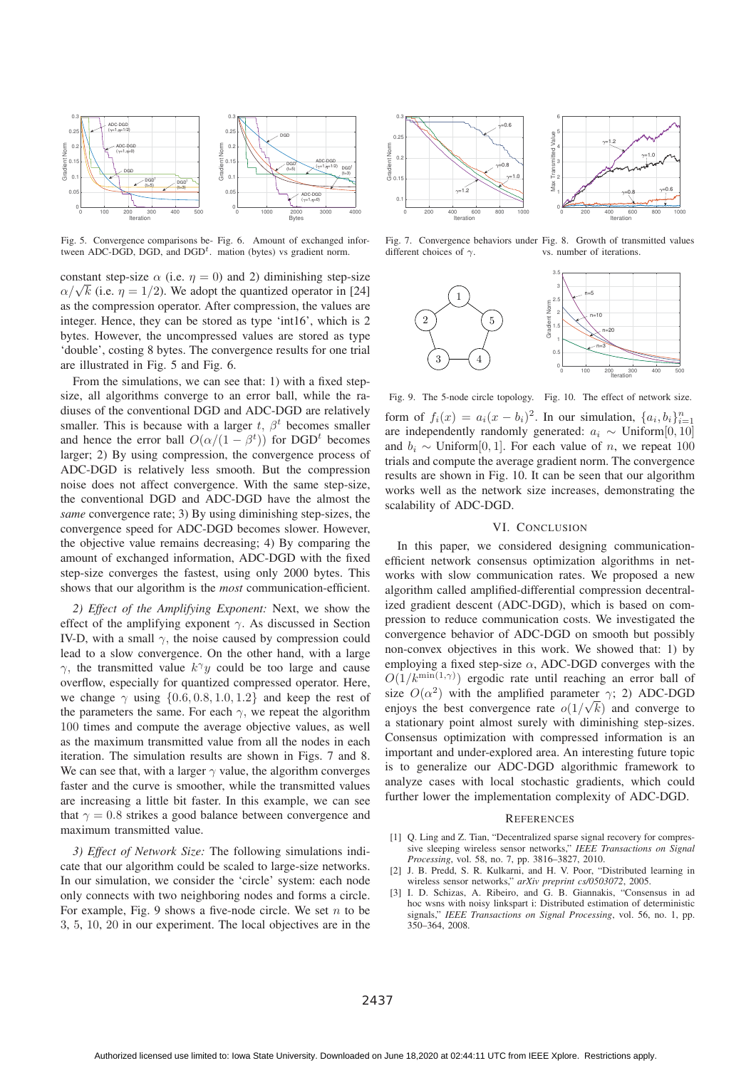

Fig. 5. Convergence comparisons be-Fig. 6. Amount of exchanged infortween ADC-DGD, DGD, and  $DGD<sup>t</sup>$ . mation (bytes) vs gradient norm.

constant step-size  $\alpha$  (i.e.  $\eta = 0$ ) and 2) diminishing step-size  $\alpha/\sqrt{k}$  (i.e.  $\eta = 1/2$ ). We adopt the quantized operator in [24]<br>as the compression operator. After compression, the values are as the compression operator. After compression, the values are integer. Hence, they can be stored as type 'int16', which is 2 bytes. However, the uncompressed values are stored as type 'double', costing 8 bytes. The convergence results for one trial are illustrated in Fig. 5 and Fig. 6.

From the simulations, we can see that: 1) with a fixed stepsize, all algorithms converge to an error ball, while the radiuses of the conventional DGD and ADC-DGD are relatively smaller. This is because with a larger t,  $\beta^t$  becomes smaller and hence the error ball  $O(\alpha/(1-\beta^t))$  for DGD<sup>t</sup> becomes<br>larger: 2) By using compression, the convergence process of larger; 2) By using compression, the convergence process of ADC-DGD is relatively less smooth. But the compression noise does not affect convergence. With the same step-size, the conventional DGD and ADC-DGD have the almost the *same* convergence rate; 3) By using diminishing step-sizes, the convergence speed for ADC-DGD becomes slower. However, the objective value remains decreasing; 4) By comparing the amount of exchanged information, ADC-DGD with the fixed step-size converges the fastest, using only 2000 bytes. This shows that our algorithm is the *most* communication-efficient.

*2) Effect of the Amplifying Exponent:* Next, we show the effect of the amplifying exponent  $\gamma$ . As discussed in Section IV-D, with a small  $\gamma$ , the noise caused by compression could lead to a slow convergence. On the other hand, with a large  $\gamma$ , the transmitted value  $k^{\gamma}y$  could be too large and cause overflow, especially for quantized compressed operator. Here, we change  $\gamma$  using  $\{0.6, 0.8, 1.0, 1.2\}$  and keep the rest of the parameters the same. For each  $\gamma$ , we repeat the algorithm 100 times and compute the average objective values, as well as the maximum transmitted value from all the nodes in each iteration. The simulation results are shown in Figs. 7 and 8. We can see that, with a larger  $\gamma$  value, the algorithm converges faster and the curve is smoother, while the transmitted values are increasing a little bit faster. In this example, we can see that  $\gamma = 0.8$  strikes a good balance between convergence and maximum transmitted value.

*3) Effect of Network Size:* The following simulations indicate that our algorithm could be scaled to large-size networks. In our simulation, we consider the 'circle' system: each node only connects with two neighboring nodes and forms a circle. For example, Fig. 9 shows a five-node circle. We set  $n$  to be 3, 5, 10, 20 in our experiment. The local objectives are in the



Fig. 7. Convergence behaviors under Fig. 8. Growth of transmitted values different choices of  $\gamma$ . vs. number of iterations.



Fig. 9. The 5-node circle topology. Fig. 10. The effect of network size. form of  $f_i(x) = a_i(x - b_i)^2$ . In our simulation,  $\{a_i, b_i\}_{i=1}^n$ 

from or  $f_i(x) = a_i(x - b_i)$ . In our simulation,  $\{a_i, b_i\}_{i=1}$ <br>are independently randomly generated:  $a_i \sim \text{Uniform}[0, 10]$ <br>and  $b_i \sim \text{Uniform}[0, 1]$ . For each value of *n*, we repeat 100 and  $b_i \sim$  Uniform[0, 1]. For each value of *n*, we repeat 100 trials and compute the average gradient norm. The convergence results are shown in Fig. 10. It can be seen that our algorithm works well as the network size increases, demonstrating the scalability of ADC-DGD.

## VI. CONCLUSION

In this paper, we considered designing communicationefficient network consensus optimization algorithms in networks with slow communication rates. We proposed a new algorithm called amplified-differential compression decentralized gradient descent (ADC-DGD), which is based on compression to reduce communication costs. We investigated the convergence behavior of ADC-DGD on smooth but possibly non-convex objectives in this work. We showed that: 1) by employing a fixed step-size  $\alpha$ , ADC-DGD converges with the  $O(1/k^{\min(1,\gamma)})$  ergodic rate until reaching an error ball of size  $O(\alpha^2)$  with the applified parameter  $\alpha$ : 2) ADC-DGD size  $O(\alpha^2)$  with the amplified parameter  $\gamma$ ; 2) ADC-DGD enjoys the best convergence rate  $o(1/\sqrt{k})$  and converge to<br>a stationary point almost surely with diminishing step-sizes a stationary point almost surely with diminishing step-sizes. Consensus optimization with compressed information is an important and under-explored area. An interesting future topic is to generalize our ADC-DGD algorithmic framework to analyze cases with local stochastic gradients, which could further lower the implementation complexity of ADC-DGD.

#### **REFERENCES**

- [1] Q. Ling and Z. Tian, "Decentralized sparse signal recovery for compressive sleeping wireless sensor networks," *IEEE Transactions on Signal Processing*, vol. 58, no. 7, pp. 3816–3827, 2010.
- [2] J. B. Predd, S. R. Kulkarni, and H. V. Poor, "Distributed learning in wireless sensor networks," *arXiv preprint cs/0503072*, 2005.
- [3] I. D. Schizas, A. Ribeiro, and G. B. Giannakis, "Consensus in ad hoc wsns with noisy linkspart i: Distributed estimation of deterministic signals," *IEEE Transactions on Signal Processing*, vol. 56, no. 1, pp. 350–364, 2008.

2437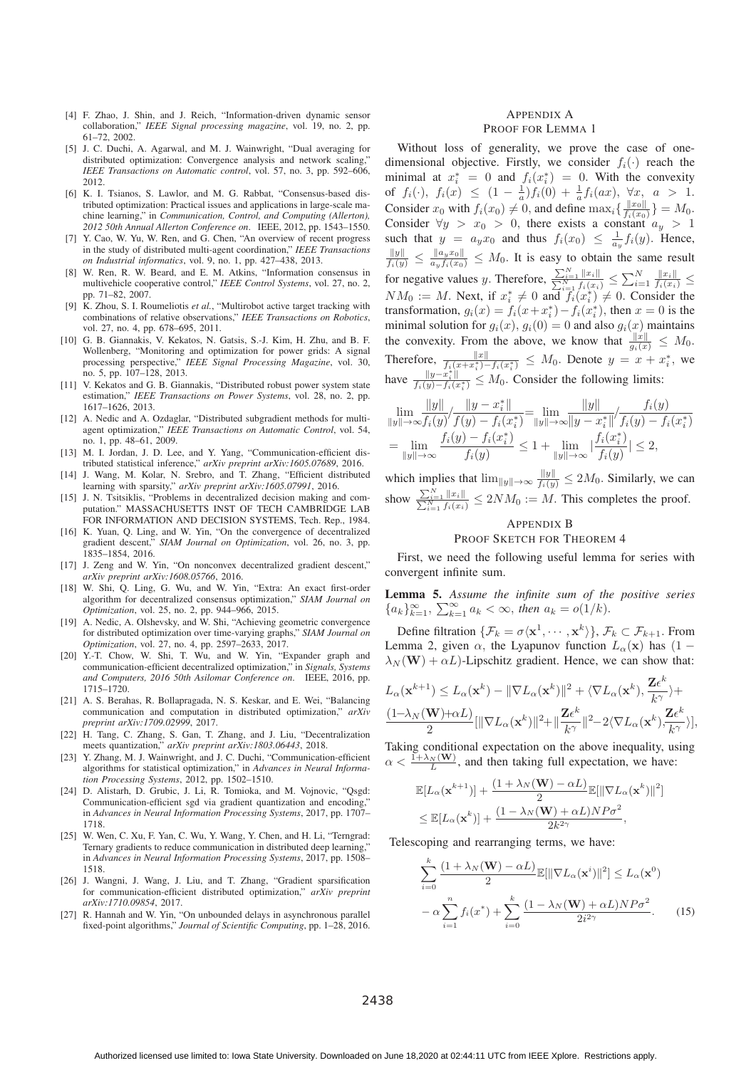- [4] F. Zhao, J. Shin, and J. Reich, "Information-driven dynamic sensor collaboration," *IEEE Signal processing magazine*, vol. 19, no. 2, pp. 61–72, 2002.
- [5] J. C. Duchi, A. Agarwal, and M. J. Wainwright, "Dual averaging for distributed optimization: Convergence analysis and network scaling, *IEEE Transactions on Automatic control*, vol. 57, no. 3, pp. 592–606, 2012.
- [6] K. I. Tsianos, S. Lawlor, and M. G. Rabbat, "Consensus-based distributed optimization: Practical issues and applications in large-scale machine learning," in *Communication, Control, and Computing (Allerton), 2012 50th Annual Allerton Conference on*. IEEE, 2012, pp. 1543–1550.
- [7] Y. Cao, W. Yu, W. Ren, and G. Chen, "An overview of recent progress in the study of distributed multi-agent coordination," *IEEE Transactions on Industrial informatics*, vol. 9, no. 1, pp. 427–438, 2013.
- [8] W. Ren, R. W. Beard, and E. M. Atkins, "Information consensus in multivehicle cooperative control," *IEEE Control Systems*, vol. 27, no. 2, pp. 71–82, 2007.
- [9] K. Zhou, S. I. Roumeliotis *et al.*, "Multirobot active target tracking with combinations of relative observations," *IEEE Transactions on Robotics*, vol. 27, no. 4, pp. 678–695, 2011.
- [10] G. B. Giannakis, V. Kekatos, N. Gatsis, S.-J. Kim, H. Zhu, and B. F. Wollenberg, "Monitoring and optimization for power grids: A signal processing perspective," *IEEE Signal Processing Magazine*, vol. 30, no. 5, pp. 107–128, 2013.
- [11] V. Kekatos and G. B. Giannakis, "Distributed robust power system state estimation," *IEEE Transactions on Power Systems*, vol. 28, no. 2, pp. 1617–1626, 2013.
- [12] A. Nedic and A. Ozdaglar, "Distributed subgradient methods for multiagent optimization," *IEEE Transactions on Automatic Control*, vol. 54, no. 1, pp. 48–61, 2009.
- [13] M. I. Jordan, J. D. Lee, and Y. Yang, "Communication-efficient distributed statistical inference," *arXiv preprint arXiv:1605.07689*, 2016.
- [14] J. Wang, M. Kolar, N. Srebro, and T. Zhang, "Efficient distributed learning with sparsity," *arXiv preprint arXiv:1605.07991*, 2016.
- [15] J. N. Tsitsiklis, "Problems in decentralized decision making and computation." MASSACHUSETTS INST OF TECH CAMBRIDGE LAB FOR INFORMATION AND DECISION SYSTEMS, Tech. Rep., 1984.
- [16] K. Yuan, Q. Ling, and W. Yin, "On the convergence of decentralized gradient descent," *SIAM Journal on Optimization*, vol. 26, no. 3, pp. 1835–1854, 2016.
- [17] J. Zeng and W. Yin, "On nonconvex decentralized gradient descent," *arXiv preprint arXiv:1608.05766*, 2016.
- [18] W. Shi, Q. Ling, G. Wu, and W. Yin, "Extra: An exact first-order algorithm for decentralized consensus optimization," *SIAM Journal on Optimization*, vol. 25, no. 2, pp. 944–966, 2015.
- [19] A. Nedic, A. Olshevsky, and W. Shi, "Achieving geometric convergence for distributed optimization over time-varying graphs," *SIAM Journal on Optimization*, vol. 27, no. 4, pp. 2597–2633, 2017.
- [20] Y.-T. Chow, W. Shi, T. Wu, and W. Yin, "Expander graph and communication-efficient decentralized optimization," in *Signals, Systems and Computers, 2016 50th Asilomar Conference on*. IEEE, 2016, pp. 1715–1720.
- [21] A. S. Berahas, R. Bollapragada, N. S. Keskar, and E. Wei, "Balancing communication and computation in distributed optimization," *arXiv preprint arXiv:1709.02999*, 2017.
- [22] H. Tang, C. Zhang, S. Gan, T. Zhang, and J. Liu, "Decentralization meets quantization," *arXiv preprint arXiv:1803.06443*, 2018.
- [23] Y. Zhang, M. J. Wainwright, and J. C. Duchi, "Communication-efficient algorithms for statistical optimization," in *Advances in Neural Information Processing Systems*, 2012, pp. 1502–1510.
- [24] D. Alistarh, D. Grubic, J. Li, R. Tomioka, and M. Vojnovic, "Osgd: Communication-efficient sgd via gradient quantization and encoding,' in *Advances in Neural Information Processing Systems*, 2017, pp. 1707– 1718.
- [25] W. Wen, C. Xu, F. Yan, C. Wu, Y. Wang, Y. Chen, and H. Li, "Terngrad: Ternary gradients to reduce communication in distributed deep learning,' in *Advances in Neural Information Processing Systems*, 2017, pp. 1508– 1518.
- [26] J. Wangni, J. Wang, J. Liu, and T. Zhang, "Gradient sparsification for communication-efficient distributed optimization," *arXiv preprint arXiv:1710.09854*, 2017.
- [27] R. Hannah and W. Yin, "On unbounded delays in asynchronous parallel fixed-point algorithms," *Journal of Scientific Computing*, pp. 1–28, 2016.

## APPENDIX A PROOF FOR LEMMA 1

Without loss of generality, we prove the case of onedimensional objective. Firstly, we consider  $f_i(\cdot)$  reach the minimal at  $x_i^* = 0$  and  $f_i(x_i^*) = 0$ . With the convexity of  $f_i(\cdot) \leq f_i(x_i) \leq (1 - \frac{1}{n}) f_i(0) + \frac{1}{n} f_i(\alpha x) \quad \forall x \leq a > 1$ . of  $f_i(\cdot)$ ,  $f_i(x) \leq (1 - \frac{1}{a}) f_i(0) + \frac{1}{a} f_i(ax)$ ,  $\forall x, a > 1$ .<br>Consider a with  $f(x) \neq 0$  and define may  $\left\{ \|x_0\| \atop 1 \right\} = M$ . Consider  $x_0$  with  $f_i(x_0) \neq 0$ , and define  $\max_i \{\frac{||x_0||}{f_i(x_0)}\} = M_0$ .<br>Consider  $\forall u > x_0 > 0$ , there exists a constant  $a > 1$ Consider  $\forall y > x_0 > 0$ , there exists a constant  $a_y > 1$ <br>such that  $y = a_x$  and thus  $f(x_0) \leq \frac{1}{a} f(y)$ . Hence such that  $y = a_y x_0$  and thus  $f_i(x_0) \leq \frac{1}{a_y} f_i(y)$ . Hence,  $\frac{\|y\|}{f_i(y)} \leq \frac{\|a_y x_0\|}{a_y f_i(x_0)} \leq M_0$ . It is easy to obtain the same result for negative values y. Therefore,  $\frac{\sum_{i=1}^{N} ||x_i||}{\sum_{i=1}^{N} f_i(x_i)} \leq \sum_{i=1}^{N} \frac{||x_i||}{f_i(x_i)} \leq$ <br>  $NM := M$ . Now if  $x^* \neq 0$  and  $f(x^*) \neq 0$ . Consider the  $NM_0 := M$ . Next, if  $x_i^* \neq 0$  and  $f_i(x_i^*) \neq 0$ . Consider the transformation  $a_i(x) = f_i(x + x^*) - f_i(x^*)$  then  $x = 0$  is the transformation,  $g_i(x) = f_i(x + x_i^*) - f_i(x_i^*)$ , then  $x = 0$  is the minimal solution for  $g_i(x)$ ,  $g_i(0) = 0$  and also  $g_i(x)$  maintains minimal solution for  $g_i(x)$ ,  $g_i(0) = 0$  and also  $g_i(x)$  maintains<br>the convexity. From the above, we know that  $\frac{||x||}{g_i(x)} \leq M_0$ .<br>Therefore,  $\frac{||x||}{f_i(x+x_i^*)-f_i(x_i^*)} \leq M_0$ . Denote  $y = x + x_i^*$ , we have  $\frac{\|y-x_i^*\|}{f_i(y)-f_i(x_i^*)} \leq M_0$ . Consider the following limits:

$$
\lim_{\|y\| \to \infty} \frac{\|y\|}{f_i(y)} / \frac{\|y - x_i^*\|}{f(y) - f_i(x_i^*)} = \lim_{\|y\| \to \infty} \frac{\|y\|}{\|y - x_i^*\|} / \frac{f_i(y)}{f_i(y) - f_i(x_i^*)}
$$
\n
$$
= \lim_{\|y\| \to \infty} \frac{f_i(y) - f_i(x_i^*)}{f_i(y)} \le 1 + \lim_{\|y\| \to \infty} \frac{|f_i(x_i^*)|}{f_i(y)} \le 2,
$$

which implies that  $\lim_{\|y\| \to \infty} \frac{\|y\|}{f_i(y)} \le 2M_0$ . Similarly, we can show  $\frac{\sum_{i=1}^{N} ||x_i||}{\sum_{i=1}^{N} f_i(x_i)} \le 2NM_0 := M$ . This completes the proof.

## APPENDIX B

#### PROOF SKETCH FOR THEOREM 4

First, we need the following useful lemma for series with convergent infinite sum.

Lemma 5. *Assume the infinite sum of the positive series*  ${a_k}_{k=1}^{\infty}, \sum_{k=1}^{\infty} a_k < \infty$ , then  $a_k = o(1/k)$ .

Define filtration  $\{\mathcal{F}_k = \sigma \langle \mathbf{x}^1, \cdots, \mathbf{x}^k \rangle\}$ ,  $\mathcal{F}_k \subset \mathcal{F}_{k+1}$ . From Lemma 2, given  $\alpha$ , the Lyapunov function  $L_{\alpha}(\mathbf{x})$  has  $(1 - \lambda) \cdot (\mathbf{W}) + \alpha L$ .] inschitz gradient. Hence, we can show that  $\lambda_N(\mathbf{W}) + \alpha L$ )-Lipschitz gradient. Hence, we can show that:

$$
L_{\alpha}(\mathbf{x}^{k+1}) \leq L_{\alpha}(\mathbf{x}^k) - \|\nabla L_{\alpha}(\mathbf{x}^k)\|^2 + \langle \nabla L_{\alpha}(\mathbf{x}^k), \frac{\mathbf{Z}\epsilon^k}{k^{\gamma}} \rangle +
$$
  

$$
\frac{(1-\lambda_N(\mathbf{W})+\alpha L)}{2} [\|\nabla L_{\alpha}(\mathbf{x}^k)\|^2 + \|\frac{\mathbf{Z}\epsilon^k}{k^{\gamma}}\|^2 - 2\langle \nabla L_{\alpha}(\mathbf{x}^k), \frac{\mathbf{Z}\epsilon^k}{k^{\gamma}} \rangle],
$$
  
Taking conditional expectation on the above inequality, using

 $\alpha < \frac{\overline{1} + \lambda_N(\mathbf{W})}{L}$ , and then taking full expectation, we have:

$$
\mathbb{E}[L_{\alpha}(\mathbf{x}^{k+1})] + \frac{(1 + \lambda_N(\mathbf{W}) - \alpha L)}{2} \mathbb{E}[\|\nabla L_{\alpha}(\mathbf{x}^k)\|^2]
$$
  
\n
$$
\leq \mathbb{E}[L_{\alpha}(\mathbf{x}^k)] + \frac{(1 - \lambda_N(\mathbf{W}) + \alpha L)NP\sigma^2}{2k^{2\gamma}},
$$

Telescoping and rearranging terms, we have:

$$
\sum_{i=0}^{k} \frac{(1+\lambda_N(\mathbf{W}) - \alpha L)}{2} \mathbb{E}[\|\nabla L_{\alpha}(\mathbf{x}^i)\|^2] \le L_{\alpha}(\mathbf{x}^0)
$$

$$
- \alpha \sum_{i=1}^{n} f_i(x^*) + \sum_{i=0}^{k} \frac{(1-\lambda_N(\mathbf{W}) + \alpha L)NP\sigma^2}{2i^{2\gamma}}.
$$
(15)

2438